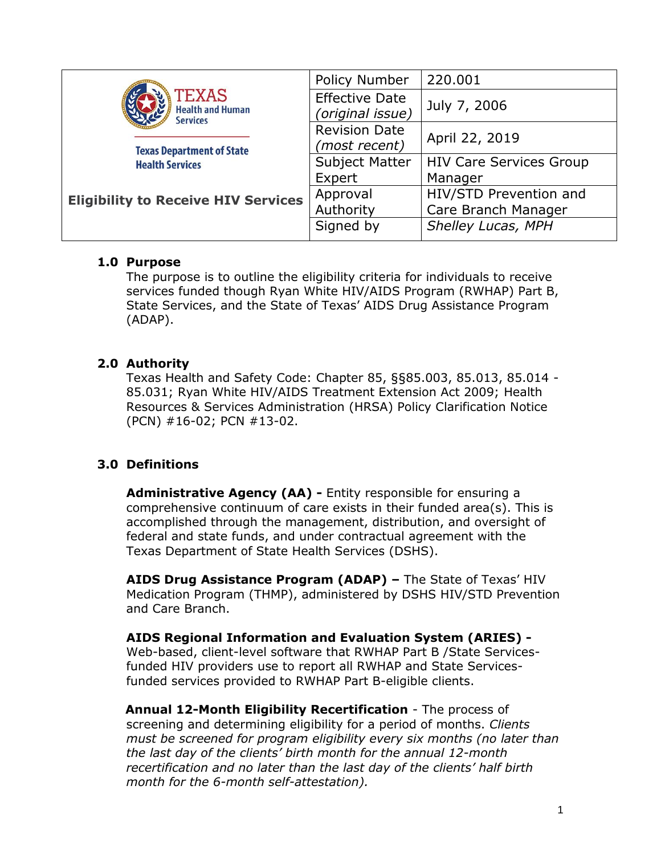|                                                                                                                          | Policy Number                             | 220.001                                       |  |
|--------------------------------------------------------------------------------------------------------------------------|-------------------------------------------|-----------------------------------------------|--|
| <b>TEXAS</b><br><b>Health and Human</b><br><b>Services</b><br><b>Texas Department of State</b><br><b>Health Services</b> | <b>Effective Date</b><br>(original issue) | July 7, 2006                                  |  |
|                                                                                                                          | <b>Revision Date</b><br>(most recent)     | April 22, 2019                                |  |
|                                                                                                                          | <b>Subject Matter</b><br>Expert           | <b>HIV Care Services Group</b><br>Manager     |  |
| <b>Eligibility to Receive HIV Services</b>                                                                               | Approval<br>Authority                     | HIV/STD Prevention and<br>Care Branch Manager |  |
|                                                                                                                          | Signed by                                 | Shelley Lucas, MPH                            |  |

#### **1.0 Purpose**

The purpose is to outline the eligibility criteria for individuals to receive services funded though Ryan White HIV/AIDS Program (RWHAP) Part B, State Services, and the State of Texas' AIDS Drug Assistance Program (ADAP).

# **2.0 Authority**

Texas Health and Safety Code: Chapter 85, §§85.003, 85.013, 85.014 - 85.031; Ryan White HIV/AIDS Treatment Extension Act 2009; Health Resources & Services Administration (HRSA) Policy Clarification Notice (PCN) #16-02; PCN #13-02.

# **3.0 Definitions**

**Administrative Agency (AA) -** Entity responsible for ensuring a comprehensive continuum of care exists in their funded area(s). This is accomplished through the management, distribution, and oversight of federal and state funds, and under contractual agreement with the Texas Department of State Health Services (DSHS).

**AIDS Drug Assistance Program (ADAP) –** The State of Texas' HIV Medication Program (THMP), administered by DSHS HIV/STD Prevention and Care Branch.

**AIDS Regional Information and Evaluation System (ARIES) -** Web-based, client-level software that RWHAP Part B /State Servicesfunded HIV providers use to report all RWHAP and State Servicesfunded services provided to RWHAP Part B-eligible clients.

**Annual 12-Month Eligibility Recertification** - The process of screening and determining eligibility for a period of months. *Clients must be screened for program eligibility every six months (no later than the last day of the clients' birth month for the annual 12-month recertification and no later than the last day of the clients' half birth month for the 6-month self-attestation).*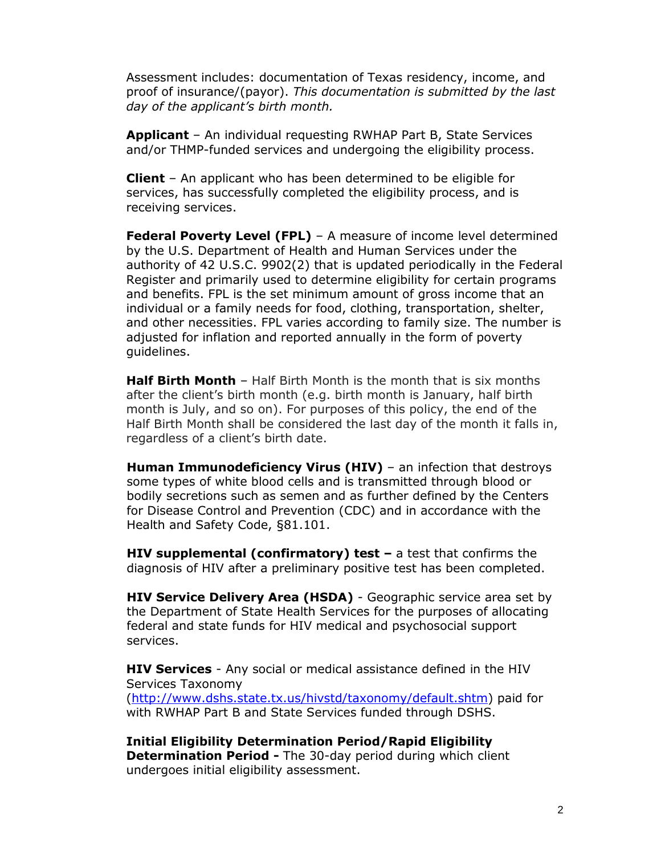Assessment includes: documentation of Texas residency, income, and proof of insurance/(payor). *This documentation is submitted by the last day of the applicant's birth month.* 

**Applicant** – An individual requesting RWHAP Part B, State Services and/or THMP-funded services and undergoing the eligibility process.

**Client** – An applicant who has been determined to be eligible for services, has successfully completed the eligibility process, and is receiving services.

**Federal Poverty Level (FPL)** – A measure of income level determined by the U.S. Department of Health and Human Services under the authority of 42 U.S.C. 9902(2) that is updated periodically in the Federal Register and primarily used to determine eligibility for certain programs and benefits. FPL is the set minimum amount of gross income that an individual or a family needs for food, clothing, transportation, shelter, and other necessities. FPL varies according to family size. The number is adjusted for inflation and reported annually in the form of poverty guidelines.

**Half Birth Month** – Half Birth Month is the month that is six months after the client's birth month (e.g. birth month is January, half birth month is July, and so on). For purposes of this policy, the end of the Half Birth Month shall be considered the last day of the month it falls in, regardless of a client's birth date.

**Human Immunodeficiency Virus (HIV)** – an infection that destroys some types of white blood cells and is transmitted through blood or bodily secretions such as semen and as further defined by the Centers for Disease Control and Prevention (CDC) and in accordance with the Health and Safety Code, §81.101.

**HIV supplemental (confirmatory) test –** a test that confirms the diagnosis of HIV after a preliminary positive test has been completed.

**HIV Service Delivery Area (HSDA)** - Geographic service area set by the Department of State Health Services for the purposes of allocating federal and state funds for HIV medical and psychosocial support services.

**HIV Services** - Any social or medical assistance defined in the HIV Services Taxonomy [\(http://www.dshs.state.tx.us/hivstd/taxonomy/default.shtm\)](http://www.dshs.state.tx.us/hivstd/taxonomy/default.shtm) paid for with RWHAP Part B and State Services funded through DSHS.

**Initial Eligibility Determination Period/Rapid Eligibility Determination Period -** The 30-day period during which client undergoes initial eligibility assessment.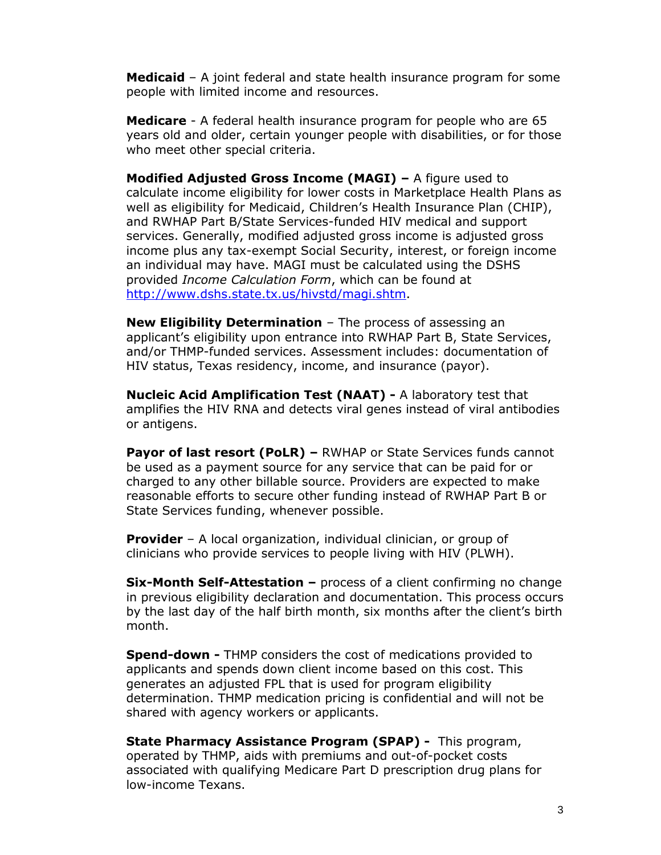**Medicaid** – A joint federal and state health insurance program for some people with limited income and resources.

**Medicare** - A federal health insurance program for people who are 65 years old and older, certain younger people with disabilities, or for those who meet other special criteria.

**Modified Adjusted Gross Income (MAGI) –** A figure used to calculate income eligibility for lower costs in Marketplace Health Plans as well as eligibility for Medicaid, Children's Health Insurance Plan (CHIP), and RWHAP Part B/State Services-funded HIV medical and support services. Generally, modified adjusted gross income is adjusted gross income plus any tax-exempt Social Security, interest, or foreign income an individual may have. MAGI must be calculated using the DSHS provided *Income Calculation Form*, which can be found at [http://www.dshs.state.tx.us/hivstd/magi.shtm.](http://www.dshs.state.tx.us/hivstd/magi.shtm)

**New Eligibility Determination** – The process of assessing an applicant's eligibility upon entrance into RWHAP Part B, State Services, and/or THMP-funded services. Assessment includes: documentation of HIV status, Texas residency, income, and insurance (payor).

**Nucleic Acid Amplification Test (NAAT) -** A laboratory test that amplifies the HIV RNA and detects viral genes instead of viral antibodies or antigens.

**Payor of last resort (PoLR) –** RWHAP or State Services funds cannot be used as a payment source for any service that can be paid for or charged to any other billable source. Providers are expected to make reasonable efforts to secure other funding instead of RWHAP Part B or State Services funding, whenever possible.

**Provider** – A local organization, individual clinician, or group of clinicians who provide services to people living with HIV (PLWH).

**Six-Month Self-Attestation –** process of a client confirming no change in previous eligibility declaration and documentation. This process occurs by the last day of the half birth month, six months after the client's birth month.

**Spend-down -** THMP considers the cost of medications provided to applicants and spends down client income based on this cost. This generates an adjusted FPL that is used for program eligibility determination. THMP medication pricing is confidential and will not be shared with agency workers or applicants.

**State Pharmacy Assistance Program (SPAP) -** This program, operated by THMP, aids with premiums and out-of-pocket costs associated with qualifying Medicare Part D prescription drug plans for low-income Texans.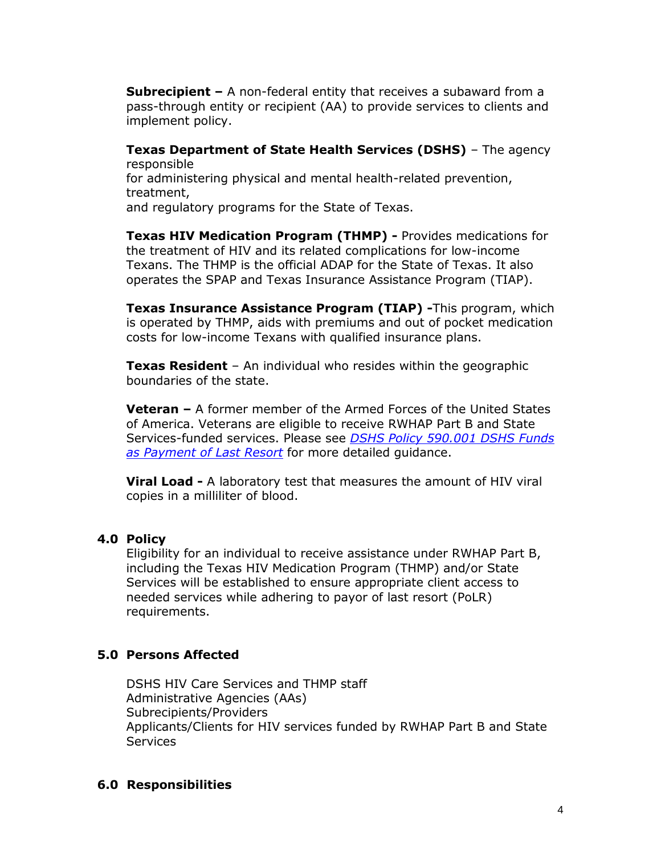**Subrecipient –** A non-federal entity that receives a subaward from a pass-through entity or recipient (AA) to provide services to clients and implement policy.

**Texas Department of State Health Services (DSHS)** – The agency responsible for administering physical and mental health-related prevention, treatment,

and regulatory programs for the State of Texas.

**Texas HIV Medication Program (THMP) -** Provides medications for the treatment of HIV and its related complications for low-income Texans. The THMP is the official ADAP for the State of Texas. It also operates the SPAP and Texas Insurance Assistance Program (TIAP).

**Texas Insurance Assistance Program (TIAP) -**This program, which is operated by THMP, aids with premiums and out of pocket medication costs for low-income Texans with qualified insurance plans.

**Texas Resident** – An individual who resides within the geographic boundaries of the state.

**Veteran –** A former member of the Armed Forces of the United States of America. Veterans are eligible to receive RWHAP Part B and State Services-funded services. Please see *[DSHS Policy 590.001 DSHS Funds](http://www.dshs.texas.gov/hivstd/policy/policies/590-001.shtm)  [as Payment of Last Resort](http://www.dshs.texas.gov/hivstd/policy/policies/590-001.shtm)* for more detailed guidance.

**Viral Load -** A laboratory test that measures the amount of HIV viral copies in a milliliter of blood.

#### **4.0 Policy**

Eligibility for an individual to receive assistance under RWHAP Part B, including the Texas HIV Medication Program (THMP) and/or State Services will be established to ensure appropriate client access to needed services while adhering to payor of last resort (PoLR) requirements.

#### **5.0 Persons Affected**

DSHS HIV Care Services and THMP staff Administrative Agencies (AAs) Subrecipients/Providers Applicants/Clients for HIV services funded by RWHAP Part B and State **Services** 

#### **6.0 Responsibilities**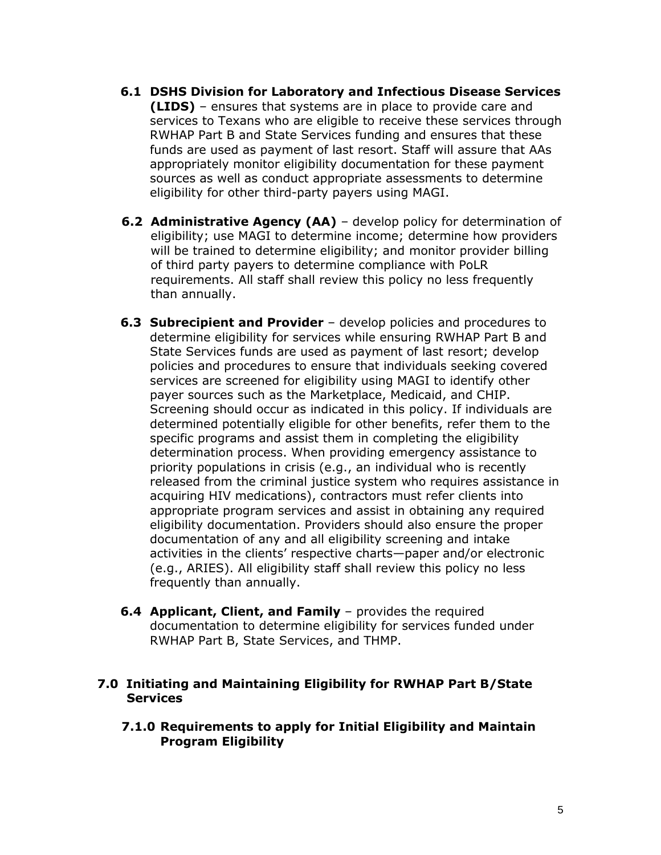- **6.1 DSHS Division for Laboratory and Infectious Disease Services (LIDS)** – ensures that systems are in place to provide care and services to Texans who are eligible to receive these services through RWHAP Part B and State Services funding and ensures that these funds are used as payment of last resort. Staff will assure that AAs appropriately monitor eligibility documentation for these payment sources as well as conduct appropriate assessments to determine eligibility for other third-party payers using MAGI.
- **6.2 Administrative Agency (AA)** develop policy for determination of eligibility; use MAGI to determine income; determine how providers will be trained to determine eligibility; and monitor provider billing of third party payers to determine compliance with PoLR requirements. All staff shall review this policy no less frequently than annually.
- **6.3 Subrecipient and Provider** develop policies and procedures to determine eligibility for services while ensuring RWHAP Part B and State Services funds are used as payment of last resort; develop policies and procedures to ensure that individuals seeking covered services are screened for eligibility using MAGI to identify other payer sources such as the Marketplace, Medicaid, and CHIP. Screening should occur as indicated in this policy. If individuals are determined potentially eligible for other benefits, refer them to the specific programs and assist them in completing the eligibility determination process. When providing emergency assistance to priority populations in crisis (e.g., an individual who is recently released from the criminal justice system who requires assistance in acquiring HIV medications), contractors must refer clients into appropriate program services and assist in obtaining any required eligibility documentation. Providers should also ensure the proper documentation of any and all eligibility screening and intake activities in the clients' respective charts—paper and/or electronic (e.g., ARIES). All eligibility staff shall review this policy no less frequently than annually.
- **6.4 Applicant, Client, and Family** provides the required documentation to determine eligibility for services funded under RWHAP Part B, State Services, and THMP.

#### **7.0 Initiating and Maintaining Eligibility for RWHAP Part B/State Services**

**7.1.0 Requirements to apply for Initial Eligibility and Maintain Program Eligibility**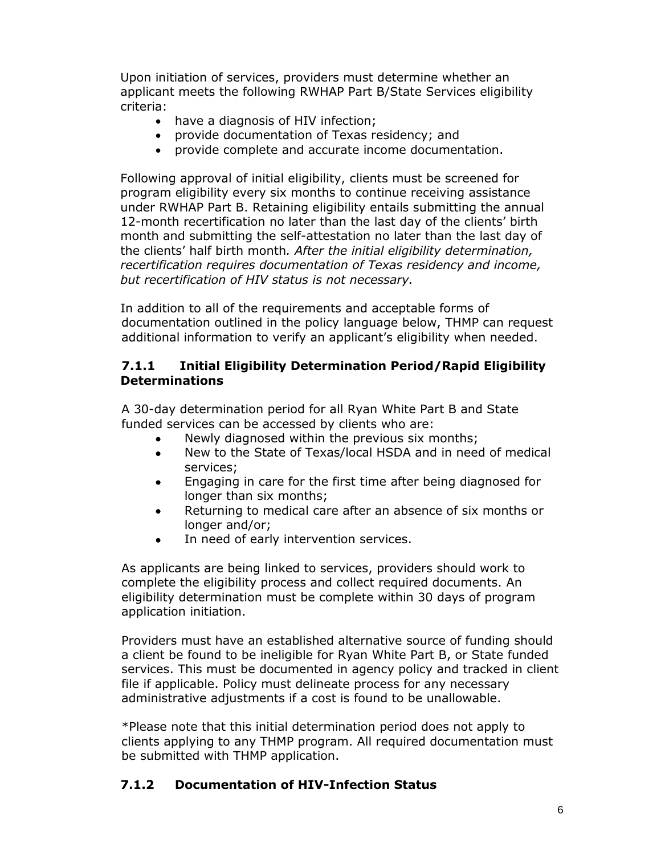Upon initiation of services, providers must determine whether an applicant meets the following RWHAP Part B/State Services eligibility criteria:

- have a diagnosis of HIV infection;
- provide documentation of Texas residency; and
- provide complete and accurate income documentation.

Following approval of initial eligibility, clients must be screened for program eligibility every six months to continue receiving assistance under RWHAP Part B. Retaining eligibility entails submitting the annual 12-month recertification no later than the last day of the clients' birth month and submitting the self-attestation no later than the last day of the clients' half birth month*. After the initial eligibility determination, recertification requires documentation of Texas residency and income, but recertification of HIV status is not necessary.* 

In addition to all of the requirements and acceptable forms of documentation outlined in the policy language below, THMP can request additional information to verify an applicant's eligibility when needed.

#### **7.1.1 Initial Eligibility Determination Period/Rapid Eligibility Determinations**

A 30-day determination period for all Ryan White Part B and State funded services can be accessed by clients who are:

- Newly diagnosed within the previous six months;
- New to the State of Texas/local HSDA and in need of medical services;
- Engaging in care for the first time after being diagnosed for longer than six months;
- Returning to medical care after an absence of six months or longer and/or;
- In need of early intervention services.

As applicants are being linked to services, providers should work to complete the eligibility process and collect required documents. An eligibility determination must be complete within 30 days of program application initiation.

Providers must have an established alternative source of funding should a client be found to be ineligible for Ryan White Part B, or State funded services. This must be documented in agency policy and tracked in client file if applicable. Policy must delineate process for any necessary administrative adjustments if a cost is found to be unallowable.

\*Please note that this initial determination period does not apply to clients applying to any THMP program. All required documentation must be submitted with THMP application.

# **7.1.2 Documentation of HIV-Infection Status**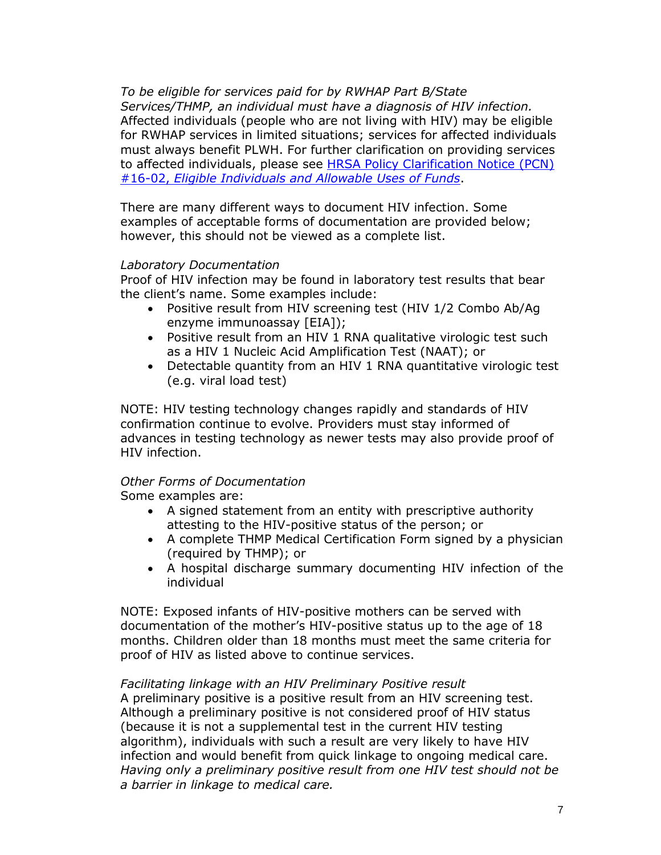*To be eligible for services paid for by RWHAP Part B/State Services/THMP, an individual must have a diagnosis of HIV infection.* Affected individuals (people who are not living with HIV) may be eligible for RWHAP services in limited situations; services for affected individuals must always benefit PLWH. For further clarification on providing services to affected individuals, please see [HRSA Policy Clarification Notice](https://hab.hrsa.gov/sites/default/files/hab/program-grants-management/ServiceCategoryPCN_16-02Final.pdf) (PCN) #16-02, *[Eligible Individuals and Allowable Uses of Funds](https://hab.hrsa.gov/sites/default/files/hab/program-grants-management/ServiceCategoryPCN_16-02Final.pdf)*.

There are many different ways to document HIV infection. Some examples of acceptable forms of documentation are provided below; however, this should not be viewed as a complete list.

#### *Laboratory Documentation*

Proof of HIV infection may be found in laboratory test results that bear the client's name. Some examples include:

- Positive result from HIV screening test (HIV 1/2 Combo Ab/Ag enzyme immunoassay [EIA]);
- Positive result from an HIV 1 RNA qualitative virologic test such as a HIV 1 Nucleic Acid Amplification Test (NAAT); or
- Detectable quantity from an HIV 1 RNA quantitative virologic test (e.g. viral load test)

NOTE: HIV testing technology changes rapidly and standards of HIV confirmation continue to evolve. Providers must stay informed of advances in testing technology as newer tests may also provide proof of HIV infection.

# *Other Forms of Documentation*

Some examples are:

- A signed statement from an entity with prescriptive authority attesting to the HIV-positive status of the person; or
- A complete THMP Medical Certification Form signed by a physician (required by THMP); or
- A hospital discharge summary documenting HIV infection of the individual

NOTE: Exposed infants of HIV-positive mothers can be served with documentation of the mother's HIV-positive status up to the age of 18 months. Children older than 18 months must meet the same criteria for proof of HIV as listed above to continue services.

#### *Facilitating linkage with an HIV Preliminary Positive result*

A preliminary positive is a positive result from an HIV screening test. Although a preliminary positive is not considered proof of HIV status (because it is not a supplemental test in the current HIV testing algorithm), individuals with such a result are very likely to have HIV infection and would benefit from quick linkage to ongoing medical care. *Having only a preliminary positive result from one HIV test should not be a barrier in linkage to medical care.*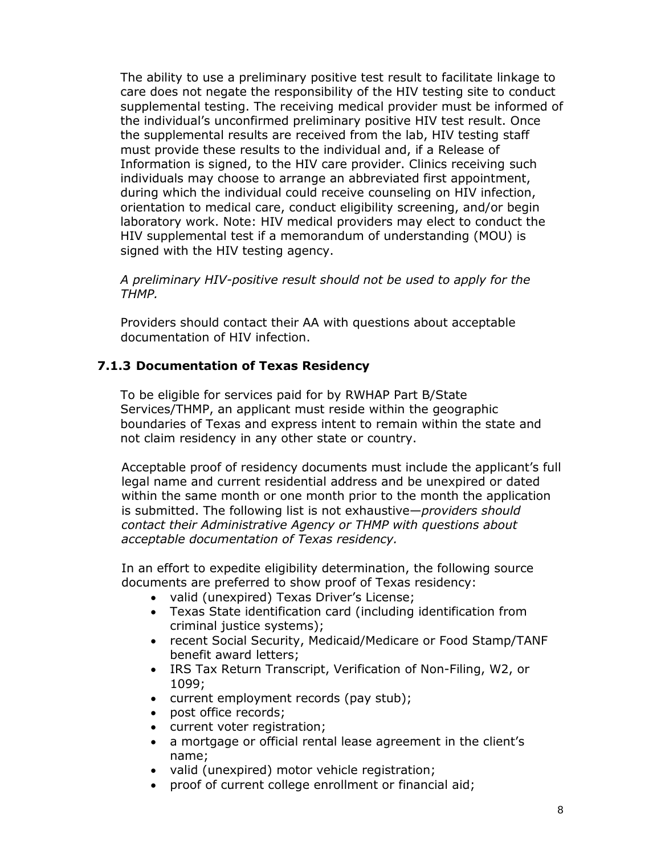The ability to use a preliminary positive test result to facilitate linkage to care does not negate the responsibility of the HIV testing site to conduct supplemental testing. The receiving medical provider must be informed of the individual's unconfirmed preliminary positive HIV test result. Once the supplemental results are received from the lab, HIV testing staff must provide these results to the individual and, if a Release of Information is signed, to the HIV care provider. Clinics receiving such individuals may choose to arrange an abbreviated first appointment, during which the individual could receive counseling on HIV infection, orientation to medical care, conduct eligibility screening, and/or begin laboratory work. Note: HIV medical providers may elect to conduct the HIV supplemental test if a memorandum of understanding (MOU) is signed with the HIV testing agency.

*A preliminary HIV-positive result should not be used to apply for the THMP.* 

Providers should contact their AA with questions about acceptable documentation of HIV infection.

#### **7.1.3 Documentation of Texas Residency**

To be eligible for services paid for by RWHAP Part B/State Services/THMP, an applicant must reside within the geographic boundaries of Texas and express intent to remain within the state and not claim residency in any other state or country.

Acceptable proof of residency documents must include the applicant's full legal name and current residential address and be unexpired or dated within the same month or one month prior to the month the application is submitted. The following list is not exhaustive—*providers should contact their Administrative Agency or THMP with questions about acceptable documentation of Texas residency.*

In an effort to expedite eligibility determination, the following source documents are preferred to show proof of Texas residency:

- valid (unexpired) Texas Driver's License;
- Texas State identification card (including identification from criminal justice systems);
- recent Social Security, Medicaid/Medicare or Food Stamp/TANF benefit award letters;
- IRS Tax Return Transcript, Verification of Non-Filing, W2, or 1099;
- current employment records (pay stub);
- post office records;
- current voter registration;
- a mortgage or official rental lease agreement in the client's name;
- valid (unexpired) motor vehicle registration;
- proof of current college enrollment or financial aid;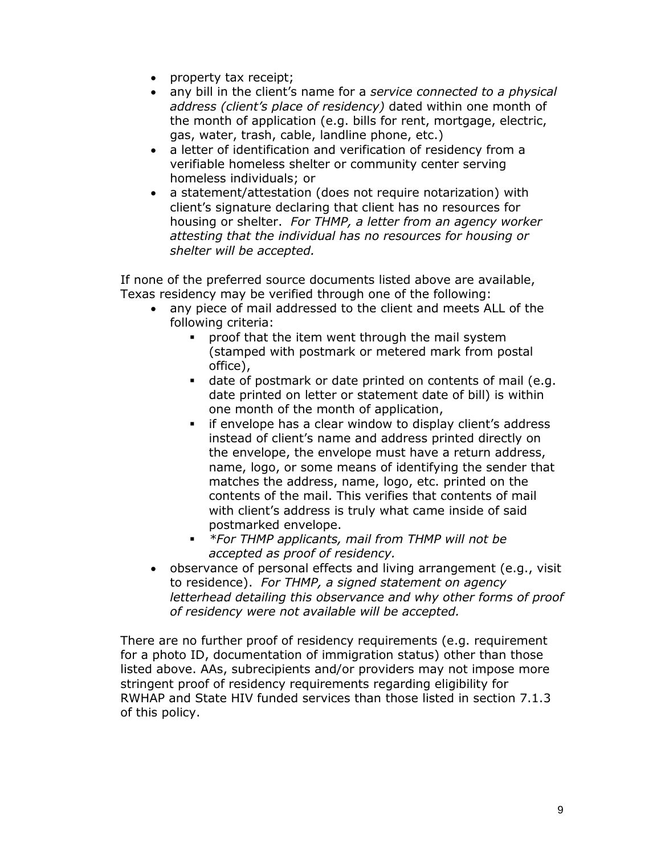- property tax receipt;
- any bill in the client's name for a *service connected to a physical address (client's place of residency)* dated within one month of the month of application (e.g. bills for rent, mortgage, electric, gas, water, trash, cable, landline phone, etc.)
- a letter of identification and verification of residency from a verifiable homeless shelter or community center serving homeless individuals; or
- a statement/attestation (does not require notarization) with client's signature declaring that client has no resources for housing or shelter. *For THMP, a letter from an agency worker attesting that the individual has no resources for housing or shelter will be accepted.*

If none of the preferred source documents listed above are available, Texas residency may be verified through one of the following:

- any piece of mail addressed to the client and meets ALL of the following criteria:
	- **•** proof that the item went through the mail system (stamped with postmark or metered mark from postal office),
	- date of postmark or date printed on contents of mail (e.g. date printed on letter or statement date of bill) is within one month of the month of application,
	- **F** if envelope has a clear window to display client's address instead of client's name and address printed directly on the envelope, the envelope must have a return address, name, logo, or some means of identifying the sender that matches the address, name, logo, etc. printed on the contents of the mail. This verifies that contents of mail with client's address is truly what came inside of said postmarked envelope.
	- *\*For THMP applicants, mail from THMP will not be accepted as proof of residency.*
- observance of personal effects and living arrangement (e.g., visit to residence). *For THMP, a signed statement on agency letterhead detailing this observance and why other forms of proof of residency were not available will be accepted.*

There are no further proof of residency requirements (e.g. requirement for a photo ID, documentation of immigration status) other than those listed above. AAs, subrecipients and/or providers may not impose more stringent proof of residency requirements regarding eligibility for RWHAP and State HIV funded services than those listed in section 7.1.3 of this policy.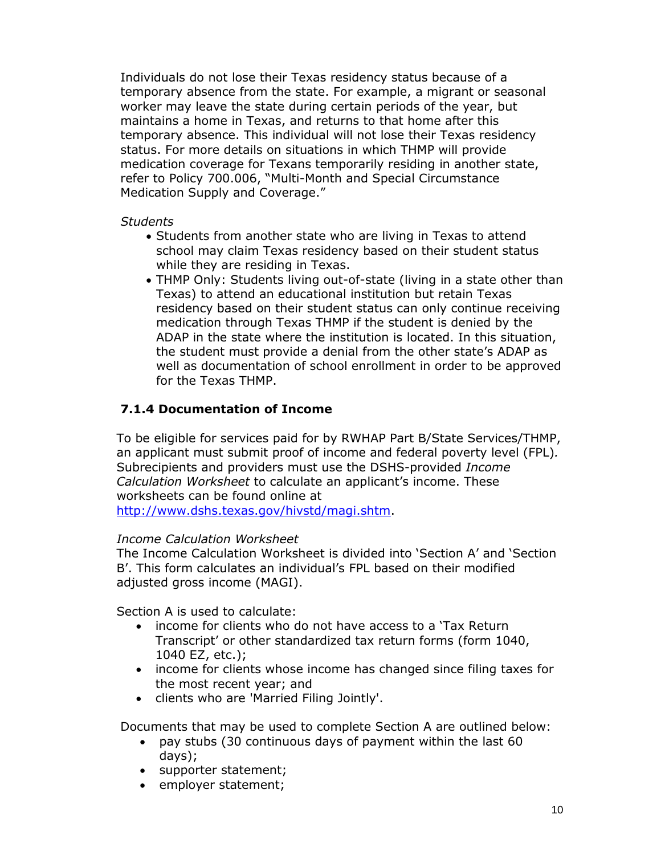Individuals do not lose their Texas residency status because of a temporary absence from the state. For example, a migrant or seasonal worker may leave the state during certain periods of the year, but maintains a home in Texas, and returns to that home after this temporary absence. This individual will not lose their Texas residency status. For more details on situations in which THMP will provide medication coverage for Texans temporarily residing in another state, refer to Policy 700.006, "Multi-Month and Special Circumstance Medication Supply and Coverage."

#### *Students*

- Students from another state who are living in Texas to attend school may claim Texas residency based on their student status while they are residing in Texas.
- THMP Only: Students living out-of-state (living in a state other than Texas) to attend an educational institution but retain Texas residency based on their student status can only continue receiving medication through Texas THMP if the student is denied by the ADAP in the state where the institution is located. In this situation, the student must provide a denial from the other state's ADAP as well as documentation of school enrollment in order to be approved for the Texas THMP.

#### **7.1.4 Documentation of Income**

To be eligible for services paid for by RWHAP Part B/State Services/THMP, an applicant must submit proof of income and federal poverty level (FPL)*.*  Subrecipients and providers must use the DSHS-provided *Income Calculation Worksheet* to calculate an applicant's income. These worksheets can be found online at

[http://www.dshs.texas.gov/hivstd/magi.shtm.](http://www.dshs.texas.gov/hivstd/magi.shtm)

#### *Income Calculation Worksheet*

The Income Calculation Worksheet is divided into 'Section A' and 'Section B'. This form calculates an individual's FPL based on their modified adjusted gross income (MAGI).

Section A is used to calculate:

- income for clients who do not have access to a 'Tax Return Transcript' or other standardized tax return forms (form 1040, 1040 EZ, etc.);
- income for clients whose income has changed since filing taxes for the most recent year; and
- clients who are 'Married Filing Jointly'.

Documents that may be used to complete Section A are outlined below:

- pay stubs (30 continuous days of payment within the last 60 days);
- supporter statement;
- employer statement;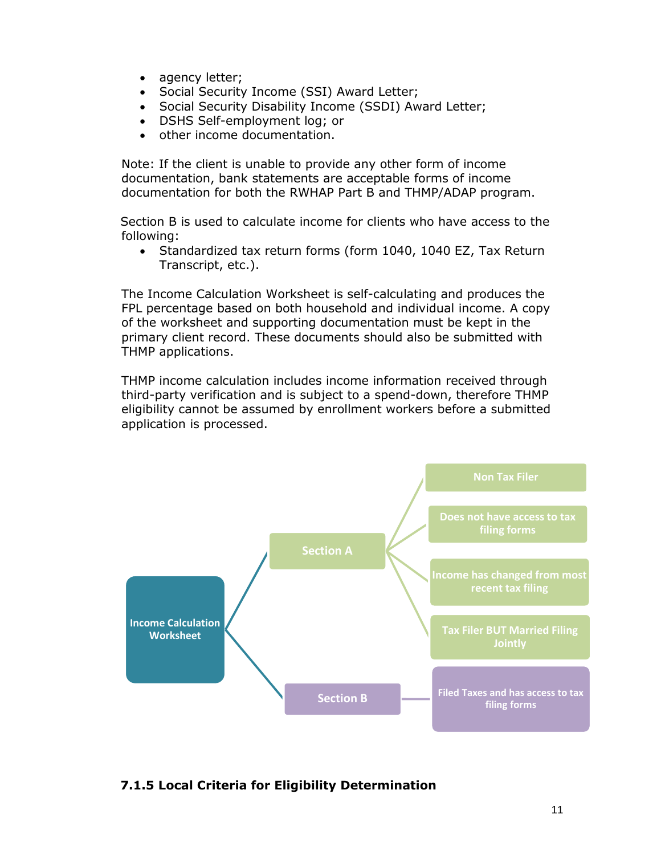- agency letter;
- Social Security Income (SSI) Award Letter;
- Social Security Disability Income (SSDI) Award Letter;
- DSHS Self-employment log; or
- other income documentation.

Note: If the client is unable to provide any other form of income documentation, bank statements are acceptable forms of income documentation for both the RWHAP Part B and THMP/ADAP program.

Section B is used to calculate income for clients who have access to the following:

• Standardized tax return forms (form 1040, 1040 EZ, Tax Return Transcript, etc.).

The Income Calculation Worksheet is self-calculating and produces the FPL percentage based on both household and individual income. A copy of the worksheet and supporting documentation must be kept in the primary client record. These documents should also be submitted with THMP applications.

THMP income calculation includes income information received through third-party verification and is subject to a spend-down, therefore THMP eligibility cannot be assumed by enrollment workers before a submitted application is processed.



#### **7.1.5 Local Criteria for Eligibility Determination**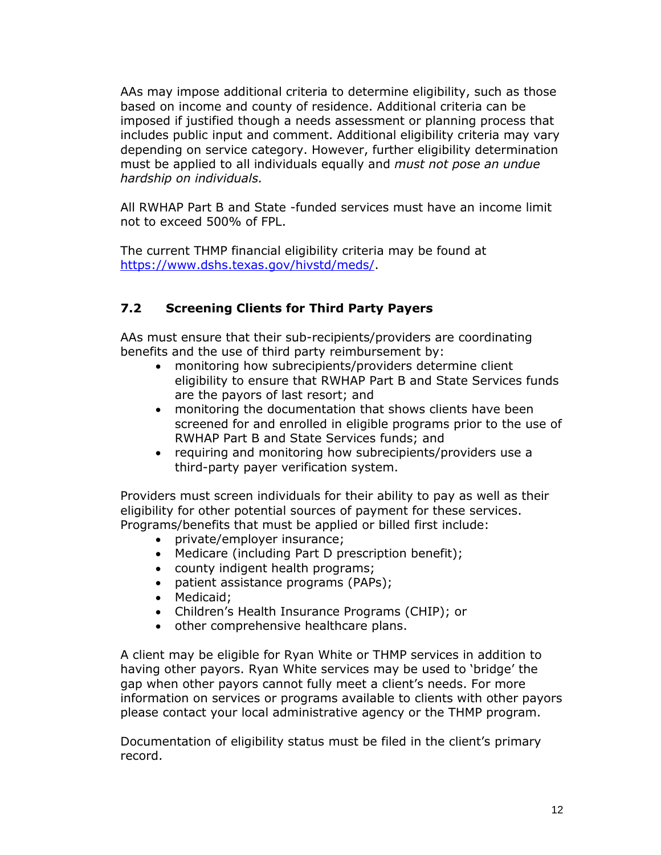AAs may impose additional criteria to determine eligibility, such as those based on income and county of residence. Additional criteria can be imposed if justified though a needs assessment or planning process that includes public input and comment. Additional eligibility criteria may vary depending on service category. However, further eligibility determination must be applied to all individuals equally and *must not pose an undue hardship on individuals.*

All RWHAP Part B and State -funded services must have an income limit not to exceed 500% of FPL.

The current THMP financial eligibility criteria may be found at [https://www.dshs.texas.gov/hivstd/meds/.](https://www.dshs.texas.gov/hivstd/meds/)

# **7.2 Screening Clients for Third Party Payers**

AAs must ensure that their sub-recipients/providers are coordinating benefits and the use of third party reimbursement by:

- monitoring how subrecipients/providers determine client eligibility to ensure that RWHAP Part B and State Services funds are the payors of last resort; and
- monitoring the documentation that shows clients have been screened for and enrolled in eligible programs prior to the use of RWHAP Part B and State Services funds; and
- requiring and monitoring how subrecipients/providers use a third-party payer verification system.

Providers must screen individuals for their ability to pay as well as their eligibility for other potential sources of payment for these services. Programs/benefits that must be applied or billed first include:

- private/employer insurance;
- Medicare (including Part D prescription benefit);
- county indigent health programs;
- patient assistance programs (PAPs);
- Medicaid:
- Children's Health Insurance Programs (CHIP); or
- other comprehensive healthcare plans.

A client may be eligible for Ryan White or THMP services in addition to having other payors. Ryan White services may be used to 'bridge' the gap when other payors cannot fully meet a client's needs. For more information on services or programs available to clients with other payors please contact your local administrative agency or the THMP program.

Documentation of eligibility status must be filed in the client's primary record.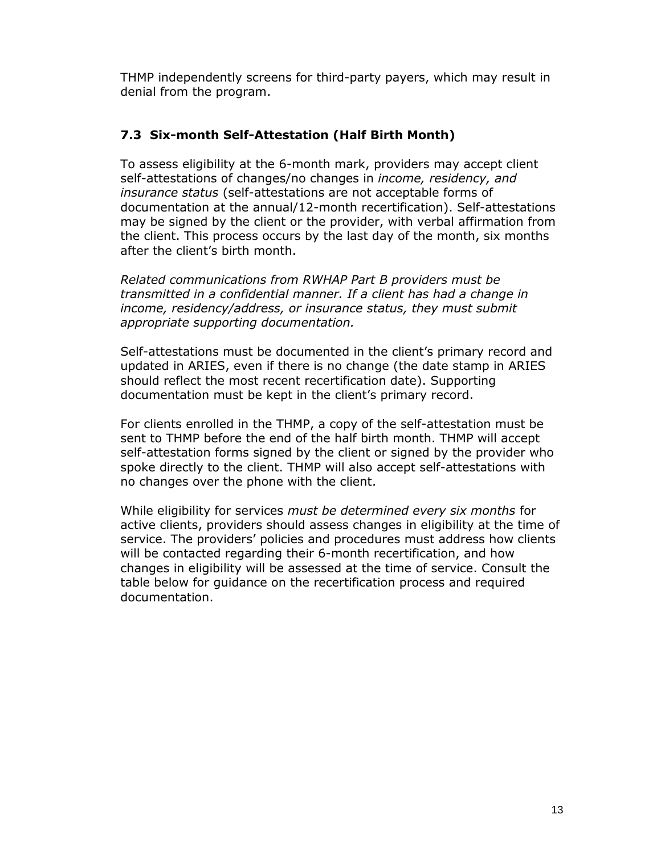THMP independently screens for third-party payers, which may result in denial from the program.

#### **7.3 Six-month Self-Attestation (Half Birth Month)**

To assess eligibility at the 6-month mark, providers may accept client self-attestations of changes/no changes in *income, residency, and insurance status* (self-attestations are not acceptable forms of documentation at the annual/12-month recertification). Self-attestations may be signed by the client or the provider, with verbal affirmation from the client. This process occurs by the last day of the month, six months after the client's birth month.

*Related communications from RWHAP Part B providers must be transmitted in a confidential manner. If a client has had a change in income, residency/address, or insurance status, they must submit appropriate supporting documentation.*

Self-attestations must be documented in the client's primary record and updated in ARIES, even if there is no change (the date stamp in ARIES should reflect the most recent recertification date). Supporting documentation must be kept in the client's primary record.

For clients enrolled in the THMP, a copy of the self-attestation must be sent to THMP before the end of the half birth month. THMP will accept self-attestation forms signed by the client or signed by the provider who spoke directly to the client. THMP will also accept self-attestations with no changes over the phone with the client.

While eligibility for services *must be determined every six months* for active clients, providers should assess changes in eligibility at the time of service. The providers' policies and procedures must address how clients will be contacted regarding their 6-month recertification, and how changes in eligibility will be assessed at the time of service. Consult the table below for guidance on the recertification process and required documentation.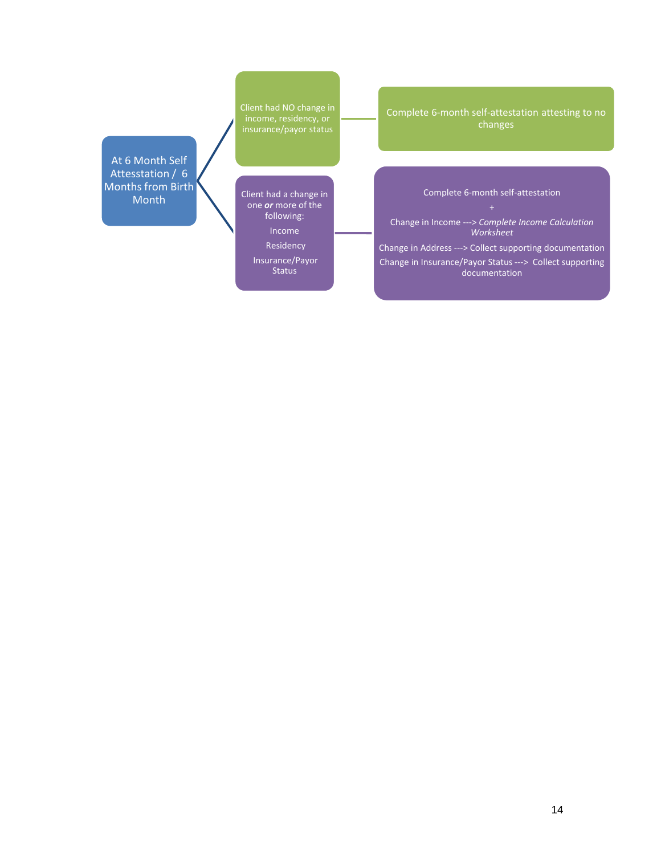At 6 Month Self Attesstation / 6 Months from Birth Month

Client had NO change in income, residency, or insurance/payor status

Client had a change in one *or* more of the following: Income

> Residency Insurance/Payor Status

Complete 6-month self-attestation attesting to no changes

#### Complete 6-month self-attestation

Change in Income ---> *Complete Income Calculation Worksheet*

Change in Address ---> Collect supporting documentation Change in Insurance/Payor Status ---> Collect supporting documentation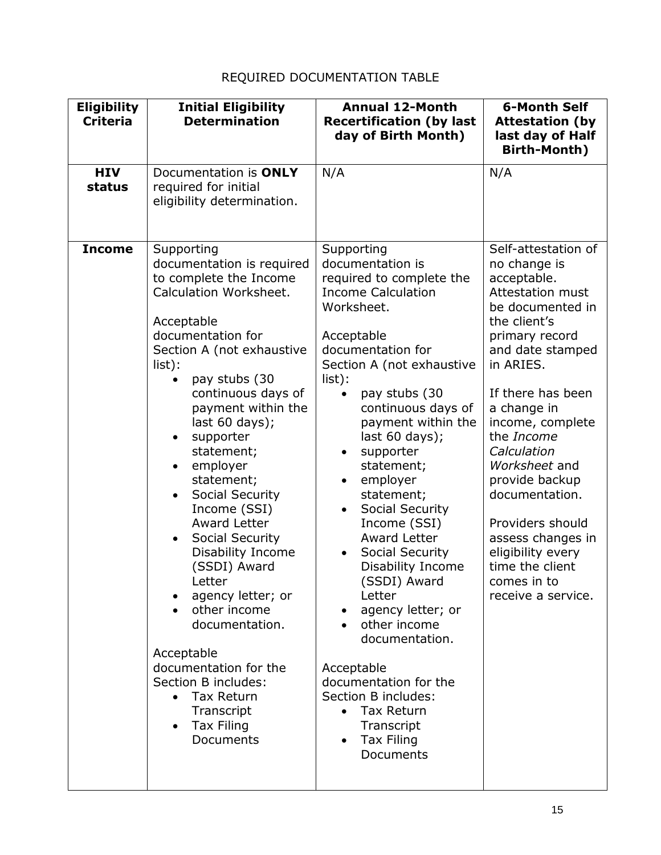# REQUIRED DOCUMENTATION TABLE

| <b>Eligibility</b><br><b>Criteria</b> | <b>Initial Eligibility</b><br><b>Determination</b>                                                                                                                                                                                                                                                                                                                                                                                                                                                                                                                                                                                                       | <b>Annual 12-Month</b><br><b>Recertification (by last</b><br>day of Birth Month)                                                                                                                                                                                                                                                                                                                                                                                                                                                                                                                                                                                                                        | <b>6-Month Self</b><br><b>Attestation (by</b><br>last day of Half<br><b>Birth-Month)</b>                                                                                                                                                                                                                                                                                                                                      |
|---------------------------------------|----------------------------------------------------------------------------------------------------------------------------------------------------------------------------------------------------------------------------------------------------------------------------------------------------------------------------------------------------------------------------------------------------------------------------------------------------------------------------------------------------------------------------------------------------------------------------------------------------------------------------------------------------------|---------------------------------------------------------------------------------------------------------------------------------------------------------------------------------------------------------------------------------------------------------------------------------------------------------------------------------------------------------------------------------------------------------------------------------------------------------------------------------------------------------------------------------------------------------------------------------------------------------------------------------------------------------------------------------------------------------|-------------------------------------------------------------------------------------------------------------------------------------------------------------------------------------------------------------------------------------------------------------------------------------------------------------------------------------------------------------------------------------------------------------------------------|
| <b>HIV</b><br>status                  | Documentation is ONLY<br>required for initial<br>eligibility determination.                                                                                                                                                                                                                                                                                                                                                                                                                                                                                                                                                                              | N/A                                                                                                                                                                                                                                                                                                                                                                                                                                                                                                                                                                                                                                                                                                     | N/A                                                                                                                                                                                                                                                                                                                                                                                                                           |
| <b>Income</b>                         | Supporting<br>documentation is required<br>to complete the Income<br>Calculation Worksheet.<br>Acceptable<br>documentation for<br>Section A (not exhaustive<br>$list)$ :<br>pay stubs (30<br>$\bullet$<br>continuous days of<br>payment within the<br>last $60$ days);<br>supporter<br>statement;<br>employer<br>$\bullet$<br>statement;<br>Social Security<br>$\bullet$<br>Income (SSI)<br>Award Letter<br>Social Security<br>Disability Income<br>(SSDI) Award<br>Letter<br>agency letter; or<br>other income<br>documentation.<br>Acceptable<br>documentation for the<br>Section B includes:<br>• Tax Return<br>Transcript<br>Tax Filing<br>Documents | Supporting<br>documentation is<br>required to complete the<br><b>Income Calculation</b><br>Worksheet.<br>Acceptable<br>documentation for<br>Section A (not exhaustive<br>$list)$ :<br>pay stubs (30<br>continuous days of<br>payment within the<br>last $60$ days);<br>supporter<br>٠<br>statement;<br>employer<br>$\bullet$<br>statement;<br>Social Security<br>$\bullet$<br>Income (SSI)<br><b>Award Letter</b><br>Social Security<br>$\bullet$<br><b>Disability Income</b><br>(SSDI) Award<br>Letter<br>agency letter; or<br>other income<br>documentation.<br>Acceptable<br>documentation for the<br>Section B includes:<br><b>Tax Return</b><br>Transcript<br>Tax Filing<br>$\bullet$<br>Documents | Self-attestation of<br>no change is<br>acceptable.<br>Attestation must<br>be documented in<br>the client's<br>primary record<br>and date stamped<br>in ARIES.<br>If there has been<br>a change in<br>income, complete<br>the Income<br>Calculation<br>Worksheet and<br>provide backup<br>documentation.<br>Providers should<br>assess changes in<br>eligibility every<br>time the client<br>comes in to<br>receive a service. |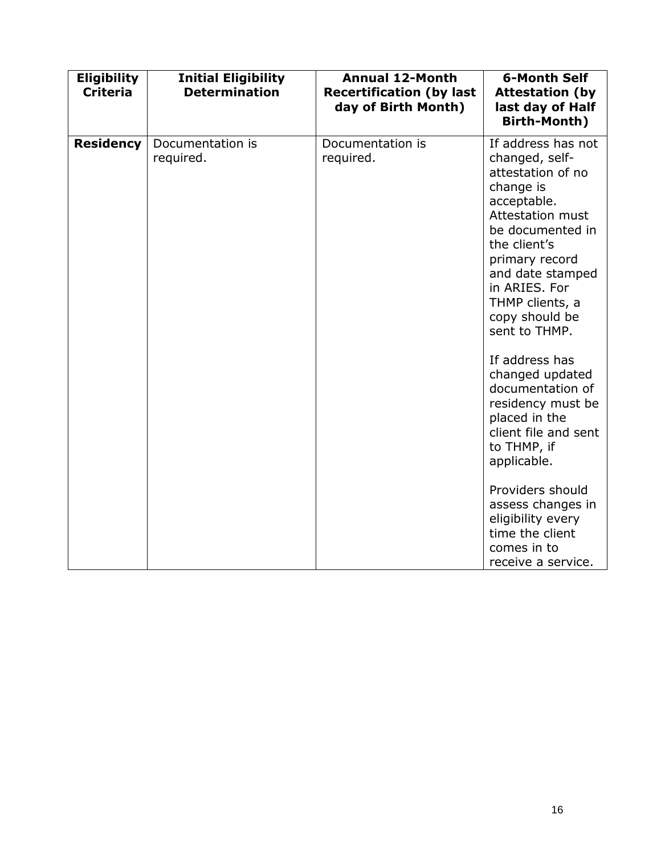| <b>Eligibility</b><br><b>Criteria</b> | <b>Initial Eligibility</b><br><b>Determination</b> | <b>Annual 12-Month</b><br><b>Recertification (by last</b><br>day of Birth Month) | <b>6-Month Self</b><br><b>Attestation (by</b><br>last day of Half<br>Birth-Month)                                                                                                                                                                                                                                                                                                                                      |
|---------------------------------------|----------------------------------------------------|----------------------------------------------------------------------------------|------------------------------------------------------------------------------------------------------------------------------------------------------------------------------------------------------------------------------------------------------------------------------------------------------------------------------------------------------------------------------------------------------------------------|
| <b>Residency</b>                      | Documentation is<br>required.                      | Documentation is<br>required.                                                    | If address has not<br>changed, self-<br>attestation of no<br>change is<br>acceptable.<br><b>Attestation must</b><br>be documented in<br>the client's<br>primary record<br>and date stamped<br>in ARIES. For<br>THMP clients, a<br>copy should be<br>sent to THMP.<br>If address has<br>changed updated<br>documentation of<br>residency must be<br>placed in the<br>client file and sent<br>to THMP, if<br>applicable. |
|                                       |                                                    |                                                                                  | Providers should<br>assess changes in<br>eligibility every<br>time the client<br>comes in to<br>receive a service.                                                                                                                                                                                                                                                                                                     |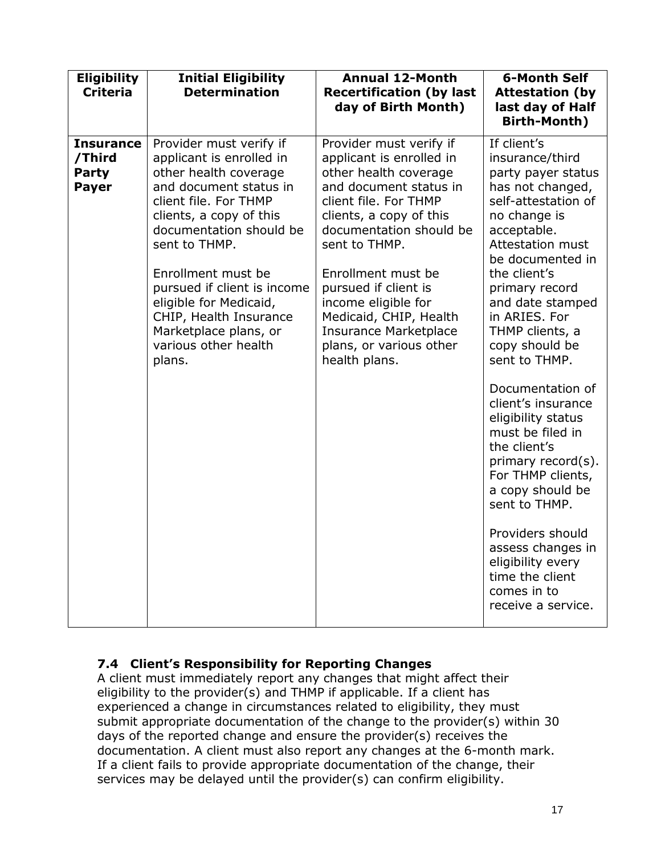| <b>Eligibility</b><br><b>Criteria</b>                      | <b>Initial Eligibility</b><br><b>Determination</b>                                                                                                                                                                                                                                                                                                                         | <b>Annual 12-Month</b><br><b>Recertification (by last</b><br>day of Birth Month)                                                                                                                                                                                                                                                                                                  | <b>6-Month Self</b><br><b>Attestation (by</b><br>last day of Half<br><b>Birth-Month)</b>                                                                                                                                                                                                                                                                                                                                                                                                                                                                                                                      |
|------------------------------------------------------------|----------------------------------------------------------------------------------------------------------------------------------------------------------------------------------------------------------------------------------------------------------------------------------------------------------------------------------------------------------------------------|-----------------------------------------------------------------------------------------------------------------------------------------------------------------------------------------------------------------------------------------------------------------------------------------------------------------------------------------------------------------------------------|---------------------------------------------------------------------------------------------------------------------------------------------------------------------------------------------------------------------------------------------------------------------------------------------------------------------------------------------------------------------------------------------------------------------------------------------------------------------------------------------------------------------------------------------------------------------------------------------------------------|
| <b>Insurance</b><br>/Third<br><b>Party</b><br><b>Payer</b> | Provider must verify if<br>applicant is enrolled in<br>other health coverage<br>and document status in<br>client file. For THMP<br>clients, a copy of this<br>documentation should be<br>sent to THMP.<br>Enrollment must be<br>pursued if client is income<br>eligible for Medicaid,<br>CHIP, Health Insurance<br>Marketplace plans, or<br>various other health<br>plans. | Provider must verify if<br>applicant is enrolled in<br>other health coverage<br>and document status in<br>client file. For THMP<br>clients, a copy of this<br>documentation should be<br>sent to THMP.<br>Enrollment must be<br>pursued if client is<br>income eligible for<br>Medicaid, CHIP, Health<br><b>Insurance Marketplace</b><br>plans, or various other<br>health plans. | If client's<br>insurance/third<br>party payer status<br>has not changed,<br>self-attestation of<br>no change is<br>acceptable.<br>Attestation must<br>be documented in<br>the client's<br>primary record<br>and date stamped<br>in ARIES. For<br>THMP clients, a<br>copy should be<br>sent to THMP.<br>Documentation of<br>client's insurance<br>eligibility status<br>must be filed in<br>the client's<br>primary record(s).<br>For THMP clients,<br>a copy should be<br>sent to THMP.<br>Providers should<br>assess changes in<br>eligibility every<br>time the client<br>comes in to<br>receive a service. |

#### **7.4 Client's Responsibility for Reporting Changes**

A client must immediately report any changes that might affect their eligibility to the provider(s) and THMP if applicable. If a client has experienced a change in circumstances related to eligibility, they must submit appropriate documentation of the change to the provider(s) within 30 days of the reported change and ensure the provider(s) receives the documentation. A client must also report any changes at the 6-month mark. If a client fails to provide appropriate documentation of the change, their services may be delayed until the provider(s) can confirm eligibility.